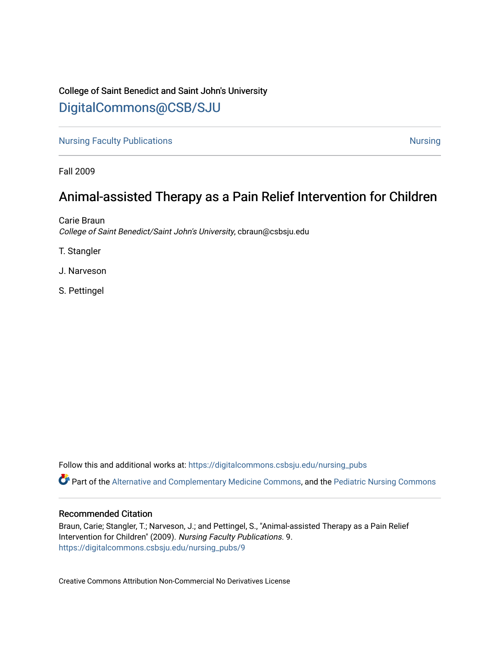## College of Saint Benedict and Saint John's University

# [DigitalCommons@CSB/SJU](https://digitalcommons.csbsju.edu/)

[Nursing Faculty Publications](https://digitalcommons.csbsju.edu/nursing_pubs) [Nursing](https://digitalcommons.csbsju.edu/nursing) Nursing Nursing

Fall 2009

# Animal-assisted Therapy as a Pain Relief Intervention for Children

Carie Braun College of Saint Benedict/Saint John's University, cbraun@csbsju.edu

T. Stangler

J. Narveson

S. Pettingel

Follow this and additional works at: [https://digitalcommons.csbsju.edu/nursing\\_pubs](https://digitalcommons.csbsju.edu/nursing_pubs?utm_source=digitalcommons.csbsju.edu%2Fnursing_pubs%2F9&utm_medium=PDF&utm_campaign=PDFCoverPages) 

Part of the [Alternative and Complementary Medicine Commons,](http://network.bepress.com/hgg/discipline/649?utm_source=digitalcommons.csbsju.edu%2Fnursing_pubs%2F9&utm_medium=PDF&utm_campaign=PDFCoverPages) and the [Pediatric Nursing Commons](http://network.bepress.com/hgg/discipline/723?utm_source=digitalcommons.csbsju.edu%2Fnursing_pubs%2F9&utm_medium=PDF&utm_campaign=PDFCoverPages)

## Recommended Citation

Braun, Carie; Stangler, T.; Narveson, J.; and Pettingel, S., "Animal-assisted Therapy as a Pain Relief Intervention for Children" (2009). Nursing Faculty Publications. 9. [https://digitalcommons.csbsju.edu/nursing\\_pubs/9](https://digitalcommons.csbsju.edu/nursing_pubs/9?utm_source=digitalcommons.csbsju.edu%2Fnursing_pubs%2F9&utm_medium=PDF&utm_campaign=PDFCoverPages) 

Creative Commons Attribution Non-Commercial No Derivatives License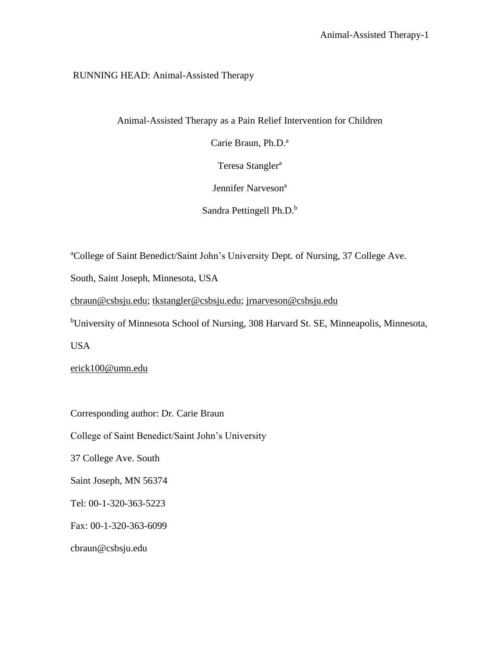## RUNNING HEAD: Animal-Assisted Therapy

Animal-Assisted Therapy as a Pain Relief Intervention for Children

Carie Braun, Ph.D.<sup>a</sup>

Teresa Stangler<sup>a</sup>

Jennifer Narveson<sup>a</sup>

Sandra Pettingell Ph.D.<sup>b</sup>

<sup>a</sup>College of Saint Benedict/Saint John's University Dept. of Nursing, 37 College Ave.

South, Saint Joseph, Minnesota, USA

[cbraun@csbsju.edu;](mailto:cbraun@csbsju.edu) [tkstangler@csbsju.edu;](mailto:tkstangler@csbsju.edu) [jrnarveson@csbsju.edu](mailto:jrnarveson@csbsju.edu)

<sup>b</sup>University of Minnesota School of Nursing, 308 Harvard St. SE, Minneapolis, Minnesota,

USA

[erick100@umn.edu](mailto:erick100@umn.edu)

Corresponding author: Dr. Carie Braun

College of Saint Benedict/Saint John's University

37 College Ave. South

Saint Joseph, MN 56374

Tel: 00-1-320-363-5223

Fax: 00-1-320-363-6099

cbraun@csbsju.edu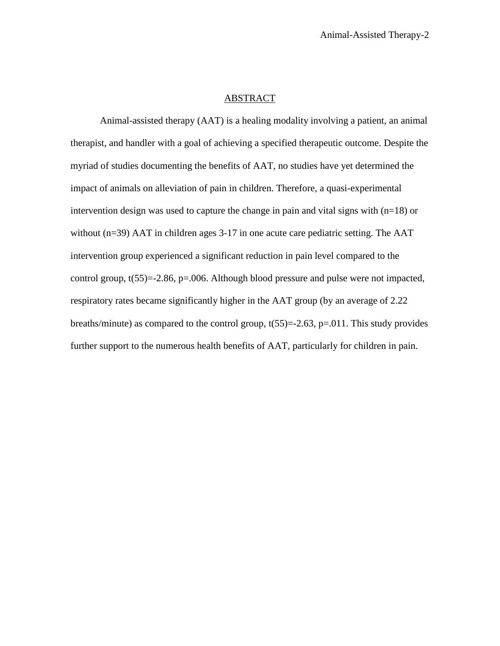## ABSTRACT

Animal-assisted therapy (AAT) is a healing modality involving a patient, an animal therapist, and handler with a goal of achieving a specified therapeutic outcome. Despite the myriad of studies documenting the benefits of AAT, no studies have yet determined the impact of animals on alleviation of pain in children. Therefore, a quasi-experimental intervention design was used to capture the change in pain and vital signs with  $(n=18)$  or without (n=39) AAT in children ages 3-17 in one acute care pediatric setting. The AAT intervention group experienced a significant reduction in pain level compared to the control group, t(55)=-2.86, p=.006. Although blood pressure and pulse were not impacted, respiratory rates became significantly higher in the AAT group (by an average of 2.22 breaths/minute) as compared to the control group,  $t(55)=2.63$ ,  $p=.011$ . This study provides further support to the numerous health benefits of AAT, particularly for children in pain.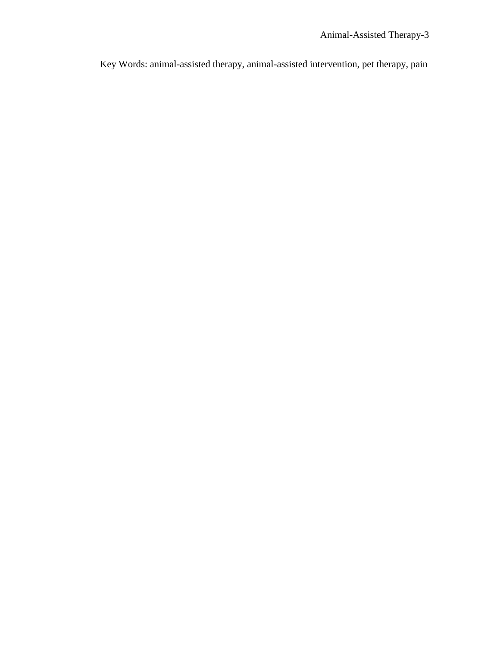Key Words: animal-assisted therapy, animal-assisted intervention, pet therapy, pain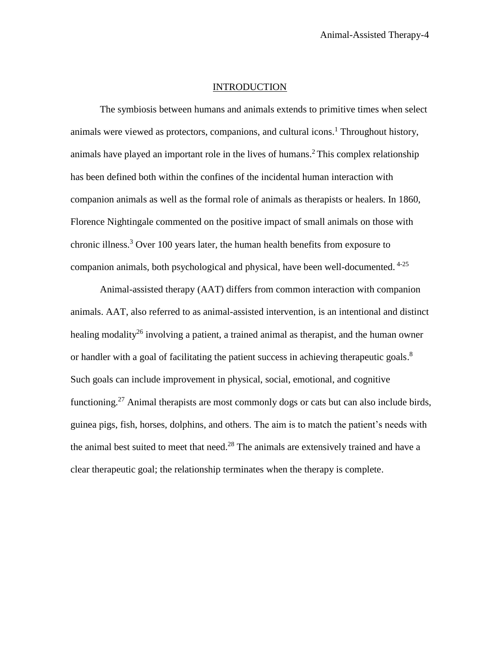## INTRODUCTION

The symbiosis between humans and animals extends to primitive times when select animals were viewed as protectors, companions, and cultural icons.<sup>1</sup> Throughout history, animals have played an important role in the lives of humans. <sup>2</sup> This complex relationship has been defined both within the confines of the incidental human interaction with companion animals as well as the formal role of animals as therapists or healers. In 1860, Florence Nightingale commented on the positive impact of small animals on those with chronic illness. <sup>3</sup> Over 100 years later, the human health benefits from exposure to companion animals, both psychological and physical, have been well-documented. 4-25

Animal-assisted therapy (AAT) differs from common interaction with companion animals. AAT, also referred to as animal-assisted intervention, is an intentional and distinct healing modality<sup>26</sup> involving a patient, a trained animal as therapist, and the human owner or handler with a goal of facilitating the patient success in achieving therapeutic goals.<sup>8</sup> Such goals can include improvement in physical, social, emotional, and cognitive functioning.<sup>27</sup> Animal therapists are most commonly dogs or cats but can also include birds, guinea pigs, fish, horses, dolphins, and others. The aim is to match the patient's needs with the animal best suited to meet that need.<sup>28</sup> The animals are extensively trained and have a clear therapeutic goal; the relationship terminates when the therapy is complete.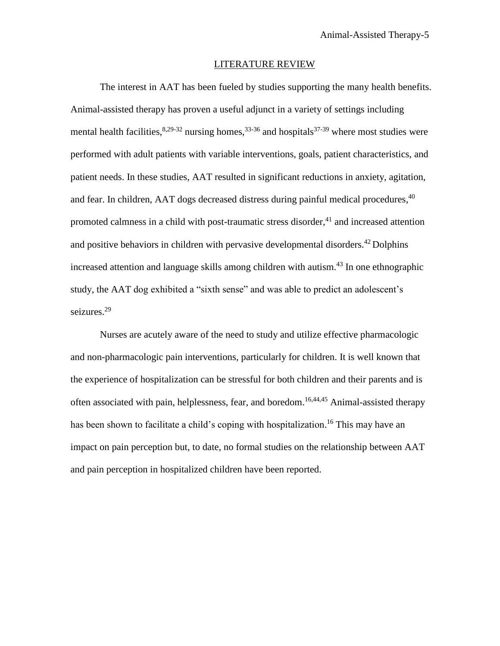### LITERATURE REVIEW

The interest in AAT has been fueled by studies supporting the many health benefits. Animal-assisted therapy has proven a useful adjunct in a variety of settings including mental health facilities,  $8,29-32$  nursing homes,  $33-36$  and hospitals  $37-39$  where most studies were performed with adult patients with variable interventions, goals, patient characteristics, and patient needs. In these studies, AAT resulted in significant reductions in anxiety, agitation, and fear. In children, AAT dogs decreased distress during painful medical procedures, 40 promoted calmness in a child with post-traumatic stress disorder, $41$  and increased attention and positive behaviors in children with pervasive developmental disorders.<sup>42</sup> Dolphins increased attention and language skills among children with autism. 43 In one ethnographic study, the AAT dog exhibited a "sixth sense" and was able to predict an adolescent's seizures. 29

Nurses are acutely aware of the need to study and utilize effective pharmacologic and non-pharmacologic pain interventions, particularly for children. It is well known that the experience of hospitalization can be stressful for both children and their parents and is often associated with pain, helplessness, fear, and boredom. 16,44,45 Animal-assisted therapy has been shown to facilitate a child's coping with hospitalization.<sup>16</sup> This may have an impact on pain perception but, to date, no formal studies on the relationship between AAT and pain perception in hospitalized children have been reported.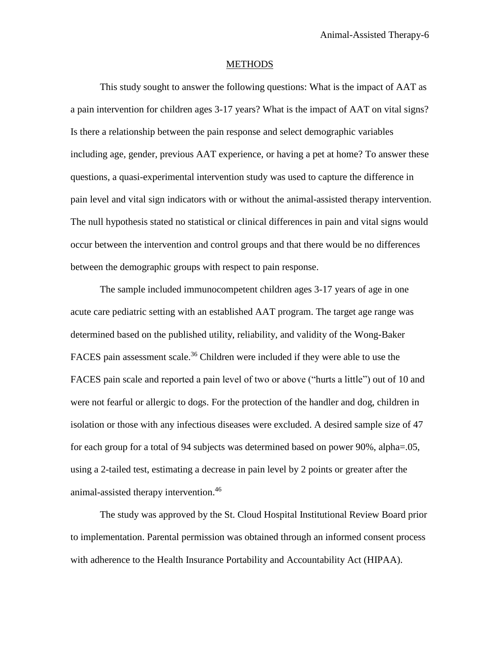#### **METHODS**

This study sought to answer the following questions: What is the impact of AAT as a pain intervention for children ages 3-17 years? What is the impact of AAT on vital signs? Is there a relationship between the pain response and select demographic variables including age, gender, previous AAT experience, or having a pet at home? To answer these questions, a quasi-experimental intervention study was used to capture the difference in pain level and vital sign indicators with or without the animal-assisted therapy intervention. The null hypothesis stated no statistical or clinical differences in pain and vital signs would occur between the intervention and control groups and that there would be no differences between the demographic groups with respect to pain response.

The sample included immunocompetent children ages 3-17 years of age in one acute care pediatric setting with an established AAT program. The target age range was determined based on the published utility, reliability, and validity of the Wong-Baker FACES pain assessment scale.<sup>36</sup> Children were included if they were able to use the FACES pain scale and reported a pain level of two or above ("hurts a little") out of 10 and were not fearful or allergic to dogs. For the protection of the handler and dog, children in isolation or those with any infectious diseases were excluded. A desired sample size of 47 for each group for a total of 94 subjects was determined based on power 90%, alpha=.05, using a 2-tailed test, estimating a decrease in pain level by 2 points or greater after the animal-assisted therapy intervention. 46

The study was approved by the St. Cloud Hospital Institutional Review Board prior to implementation. Parental permission was obtained through an informed consent process with adherence to the Health Insurance Portability and Accountability Act (HIPAA).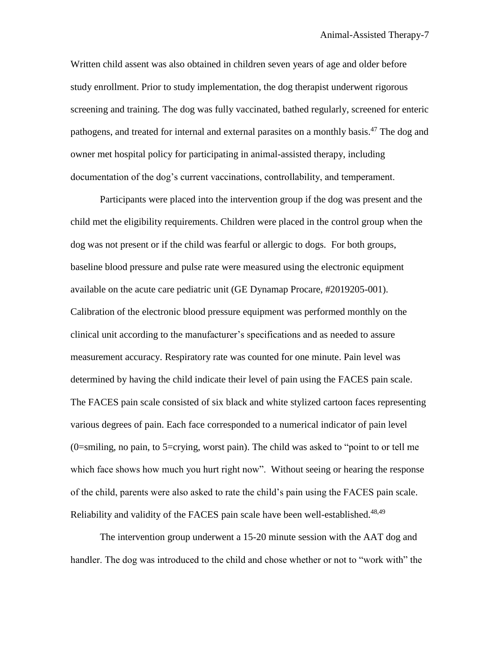Written child assent was also obtained in children seven years of age and older before study enrollment. Prior to study implementation, the dog therapist underwent rigorous screening and training. The dog was fully vaccinated, bathed regularly, screened for enteric pathogens, and treated for internal and external parasites on a monthly basis.<sup>47</sup> The dog and owner met hospital policy for participating in animal-assisted therapy, including documentation of the dog's current vaccinations, controllability, and temperament.

Participants were placed into the intervention group if the dog was present and the child met the eligibility requirements. Children were placed in the control group when the dog was not present or if the child was fearful or allergic to dogs. For both groups, baseline blood pressure and pulse rate were measured using the electronic equipment available on the acute care pediatric unit (GE Dynamap Procare, #2019205-001). Calibration of the electronic blood pressure equipment was performed monthly on the clinical unit according to the manufacturer's specifications and as needed to assure measurement accuracy. Respiratory rate was counted for one minute. Pain level was determined by having the child indicate their level of pain using the FACES pain scale. The FACES pain scale consisted of six black and white stylized cartoon faces representing various degrees of pain. Each face corresponded to a numerical indicator of pain level (0=smiling, no pain, to 5=crying, worst pain). The child was asked to "point to or tell me which face shows how much you hurt right now". Without seeing or hearing the response of the child, parents were also asked to rate the child's pain using the FACES pain scale. Reliability and validity of the FACES pain scale have been well-established.<sup>48,49</sup>

The intervention group underwent a 15-20 minute session with the AAT dog and handler. The dog was introduced to the child and chose whether or not to "work with" the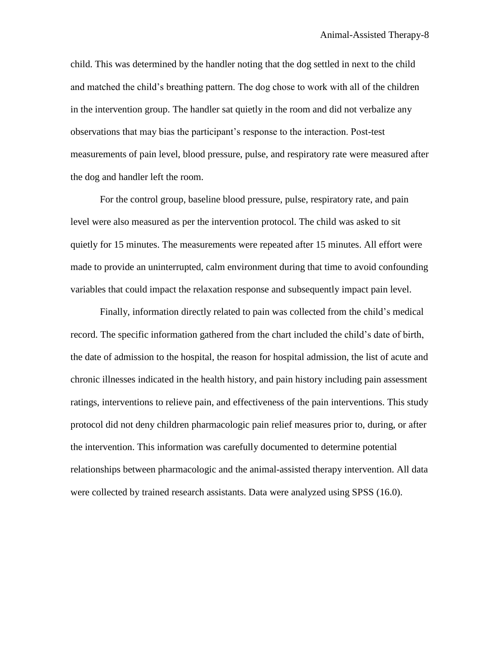child. This was determined by the handler noting that the dog settled in next to the child and matched the child's breathing pattern. The dog chose to work with all of the children in the intervention group. The handler sat quietly in the room and did not verbalize any observations that may bias the participant's response to the interaction. Post-test measurements of pain level, blood pressure, pulse, and respiratory rate were measured after the dog and handler left the room.

For the control group, baseline blood pressure, pulse, respiratory rate, and pain level were also measured as per the intervention protocol. The child was asked to sit quietly for 15 minutes. The measurements were repeated after 15 minutes. All effort were made to provide an uninterrupted, calm environment during that time to avoid confounding variables that could impact the relaxation response and subsequently impact pain level.

Finally, information directly related to pain was collected from the child's medical record. The specific information gathered from the chart included the child's date of birth, the date of admission to the hospital, the reason for hospital admission, the list of acute and chronic illnesses indicated in the health history, and pain history including pain assessment ratings, interventions to relieve pain, and effectiveness of the pain interventions. This study protocol did not deny children pharmacologic pain relief measures prior to, during, or after the intervention. This information was carefully documented to determine potential relationships between pharmacologic and the animal-assisted therapy intervention. All data were collected by trained research assistants. Data were analyzed using SPSS (16.0).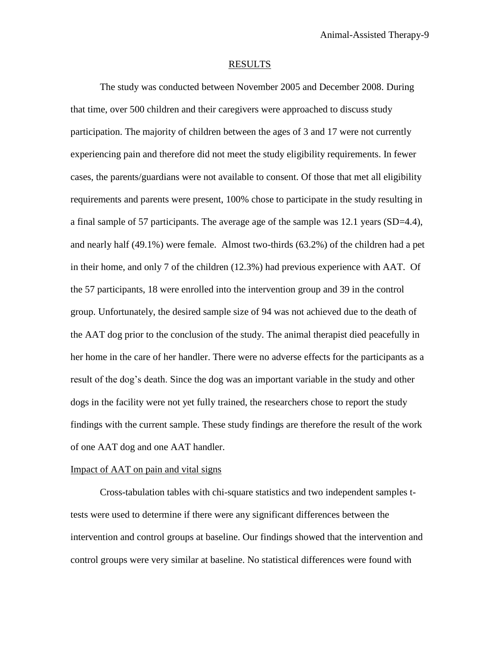#### RESULTS

The study was conducted between November 2005 and December 2008. During that time, over 500 children and their caregivers were approached to discuss study participation. The majority of children between the ages of 3 and 17 were not currently experiencing pain and therefore did not meet the study eligibility requirements. In fewer cases, the parents/guardians were not available to consent. Of those that met all eligibility requirements and parents were present, 100% chose to participate in the study resulting in a final sample of 57 participants. The average age of the sample was 12.1 years (SD=4.4), and nearly half (49.1%) were female. Almost two-thirds (63.2%) of the children had a pet in their home, and only 7 of the children (12.3%) had previous experience with AAT. Of the 57 participants, 18 were enrolled into the intervention group and 39 in the control group. Unfortunately, the desired sample size of 94 was not achieved due to the death of the AAT dog prior to the conclusion of the study. The animal therapist died peacefully in her home in the care of her handler. There were no adverse effects for the participants as a result of the dog's death. Since the dog was an important variable in the study and other dogs in the facility were not yet fully trained, the researchers chose to report the study findings with the current sample. These study findings are therefore the result of the work of one AAT dog and one AAT handler.

## Impact of AAT on pain and vital signs

Cross-tabulation tables with chi-square statistics and two independent samples ttests were used to determine if there were any significant differences between the intervention and control groups at baseline. Our findings showed that the intervention and control groups were very similar at baseline. No statistical differences were found with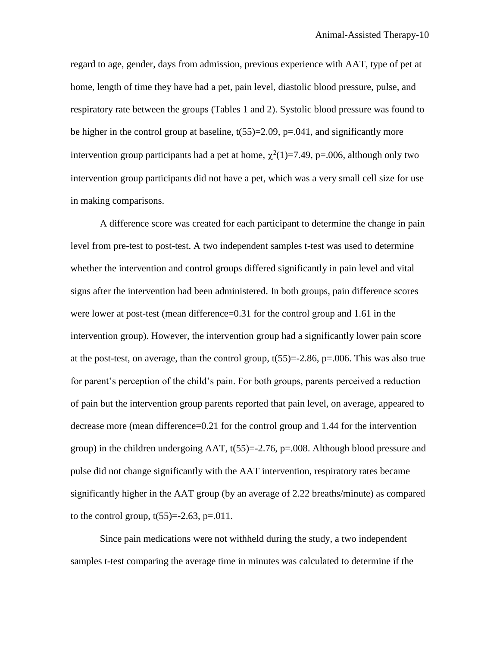regard to age, gender, days from admission, previous experience with AAT, type of pet at home, length of time they have had a pet, pain level, diastolic blood pressure, pulse, and respiratory rate between the groups (Tables 1 and 2). Systolic blood pressure was found to be higher in the control group at baseline,  $t(55)=2.09$ ,  $p=.041$ , and significantly more intervention group participants had a pet at home,  $\chi^2(1)=7.49$ , p=.006, although only two intervention group participants did not have a pet, which was a very small cell size for use in making comparisons.

A difference score was created for each participant to determine the change in pain level from pre-test to post-test. A two independent samples t-test was used to determine whether the intervention and control groups differed significantly in pain level and vital signs after the intervention had been administered. In both groups, pain difference scores were lower at post-test (mean difference=0.31 for the control group and 1.61 in the intervention group). However, the intervention group had a significantly lower pain score at the post-test, on average, than the control group,  $t(55)=2.86$ ,  $p=.006$ . This was also true for parent's perception of the child's pain. For both groups, parents perceived a reduction of pain but the intervention group parents reported that pain level, on average, appeared to decrease more (mean difference=0.21 for the control group and 1.44 for the intervention group) in the children undergoing AAT,  $t(55)=2.76$ ,  $p=.008$ . Although blood pressure and pulse did not change significantly with the AAT intervention, respiratory rates became significantly higher in the AAT group (by an average of 2.22 breaths/minute) as compared to the control group,  $t(55)=2.63$ ,  $p=.011$ .

Since pain medications were not withheld during the study, a two independent samples t-test comparing the average time in minutes was calculated to determine if the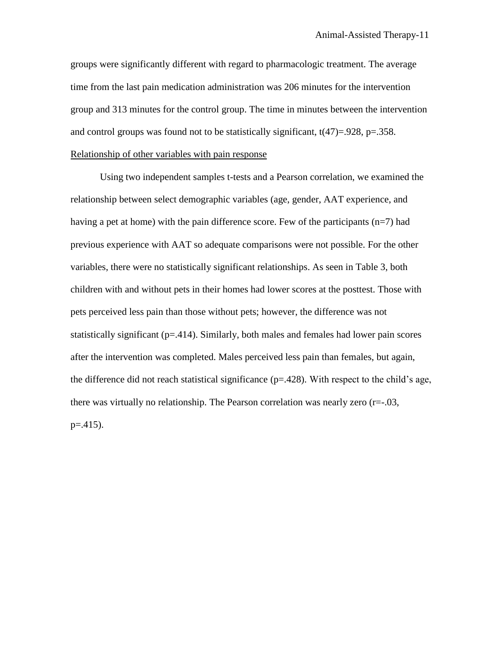groups were significantly different with regard to pharmacologic treatment. The average time from the last pain medication administration was 206 minutes for the intervention group and 313 minutes for the control group. The time in minutes between the intervention and control groups was found not to be statistically significant,  $t(47)=0.928$ , p=.358. Relationship of other variables with pain response

Using two independent samples t-tests and a Pearson correlation, we examined the relationship between select demographic variables (age, gender, AAT experience, and having a pet at home) with the pain difference score. Few of the participants  $(n=7)$  had previous experience with AAT so adequate comparisons were not possible. For the other variables, there were no statistically significant relationships. As seen in Table 3, both children with and without pets in their homes had lower scores at the posttest. Those with pets perceived less pain than those without pets; however, the difference was not statistically significant  $(p=414)$ . Similarly, both males and females had lower pain scores after the intervention was completed. Males perceived less pain than females, but again, the difference did not reach statistical significance (p=.428). With respect to the child's age, there was virtually no relationship. The Pearson correlation was nearly zero (r=-.03,  $p = 0.415$ .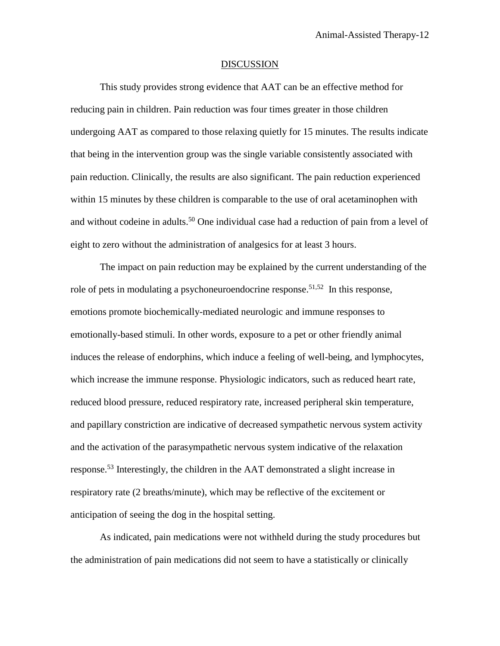#### DISCUSSION

This study provides strong evidence that AAT can be an effective method for reducing pain in children. Pain reduction was four times greater in those children undergoing AAT as compared to those relaxing quietly for 15 minutes. The results indicate that being in the intervention group was the single variable consistently associated with pain reduction. Clinically, the results are also significant. The pain reduction experienced within 15 minutes by these children is comparable to the use of oral acetaminophen with and without codeine in adults. <sup>50</sup> One individual case had a reduction of pain from a level of eight to zero without the administration of analgesics for at least 3 hours.

The impact on pain reduction may be explained by the current understanding of the role of pets in modulating a psychoneuroendocrine response.<sup>51,52</sup> In this response, emotions promote biochemically-mediated neurologic and immune responses to emotionally-based stimuli. In other words, exposure to a pet or other friendly animal induces the release of endorphins, which induce a feeling of well-being, and lymphocytes, which increase the immune response. Physiologic indicators, such as reduced heart rate, reduced blood pressure, reduced respiratory rate, increased peripheral skin temperature, and papillary constriction are indicative of decreased sympathetic nervous system activity and the activation of the parasympathetic nervous system indicative of the relaxation response. <sup>53</sup> Interestingly, the children in the AAT demonstrated a slight increase in respiratory rate (2 breaths/minute), which may be reflective of the excitement or anticipation of seeing the dog in the hospital setting.

As indicated, pain medications were not withheld during the study procedures but the administration of pain medications did not seem to have a statistically or clinically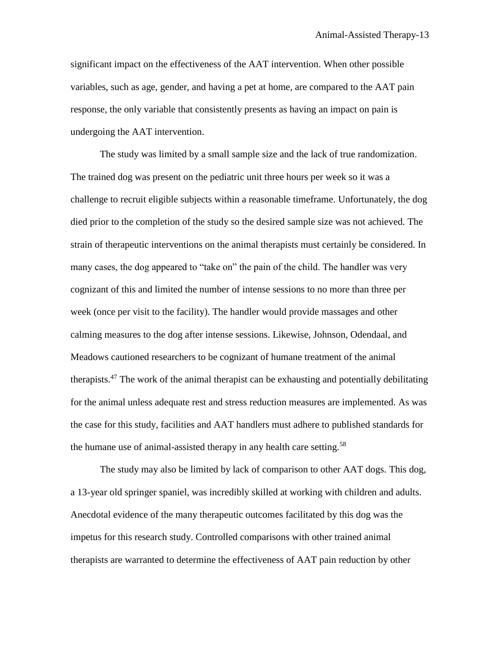significant impact on the effectiveness of the AAT intervention. When other possible variables, such as age, gender, and having a pet at home, are compared to the AAT pain response, the only variable that consistently presents as having an impact on pain is undergoing the AAT intervention.

The study was limited by a small sample size and the lack of true randomization. The trained dog was present on the pediatric unit three hours per week so it was a challenge to recruit eligible subjects within a reasonable timeframe. Unfortunately, the dog died prior to the completion of the study so the desired sample size was not achieved. The strain of therapeutic interventions on the animal therapists must certainly be considered. In many cases, the dog appeared to "take on" the pain of the child. The handler was very cognizant of this and limited the number of intense sessions to no more than three per week (once per visit to the facility). The handler would provide massages and other calming measures to the dog after intense sessions. Likewise, Johnson, Odendaal, and Meadows cautioned researchers to be cognizant of humane treatment of the animal therapists.<sup>47</sup> The work of the animal therapist can be exhausting and potentially debilitating for the animal unless adequate rest and stress reduction measures are implemented. As was the case for this study, facilities and AAT handlers must adhere to published standards for the humane use of animal-assisted therapy in any health care setting.<sup>58</sup>

The study may also be limited by lack of comparison to other AAT dogs. This dog, a 13-year old springer spaniel, was incredibly skilled at working with children and adults. Anecdotal evidence of the many therapeutic outcomes facilitated by this dog was the impetus for this research study. Controlled comparisons with other trained animal therapists are warranted to determine the effectiveness of AAT pain reduction by other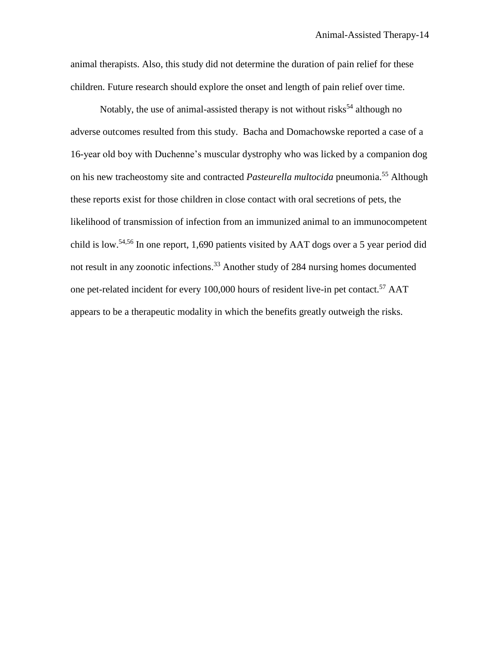animal therapists. Also, this study did not determine the duration of pain relief for these children. Future research should explore the onset and length of pain relief over time.

Notably, the use of animal-assisted therapy is not without risks<sup>54</sup> although no adverse outcomes resulted from this study. Bacha and Domachowske reported a case of a 16-year old boy with Duchenne's muscular dystrophy who was licked by a companion dog on his new tracheostomy site and contracted *Pasteurella multocida* pneumonia.<sup>55</sup> Although these reports exist for those children in close contact with oral secretions of pets, the likelihood of transmission of infection from an immunized animal to an immunocompetent child is low.<sup>54,56</sup> In one report, 1,690 patients visited by AAT dogs over a 5 year period did not result in any zoonotic infections. <sup>33</sup> Another study of 284 nursing homes documented one pet-related incident for every 100,000 hours of resident live-in pet contact.<sup>57</sup> AAT appears to be a therapeutic modality in which the benefits greatly outweigh the risks.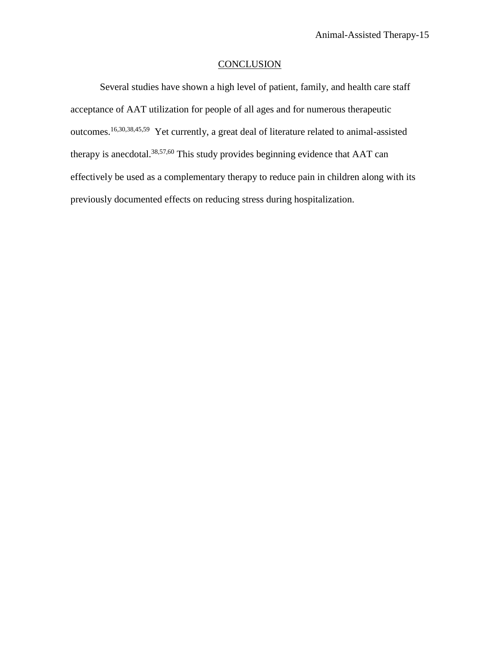## **CONCLUSION**

Several studies have shown a high level of patient, family, and health care staff acceptance of AAT utilization for people of all ages and for numerous therapeutic outcomes.<sup>16,30,38,45,59</sup> Yet currently, a great deal of literature related to animal-assisted therapy is anecdotal.38,57,60 This study provides beginning evidence that AAT can effectively be used as a complementary therapy to reduce pain in children along with its previously documented effects on reducing stress during hospitalization.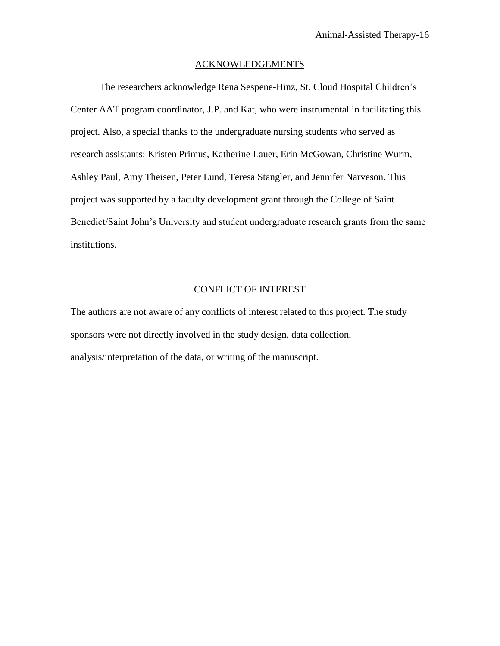### ACKNOWLEDGEMENTS

The researchers acknowledge Rena Sespene-Hinz, St. Cloud Hospital Children's Center AAT program coordinator, J.P. and Kat, who were instrumental in facilitating this project. Also, a special thanks to the undergraduate nursing students who served as research assistants: Kristen Primus, Katherine Lauer, Erin McGowan, Christine Wurm, Ashley Paul, Amy Theisen, Peter Lund, Teresa Stangler, and Jennifer Narveson. This project was supported by a faculty development grant through the College of Saint Benedict/Saint John's University and student undergraduate research grants from the same institutions.

## CONFLICT OF INTEREST

The authors are not aware of any conflicts of interest related to this project. The study sponsors were not directly involved in the study design, data collection, analysis/interpretation of the data, or writing of the manuscript.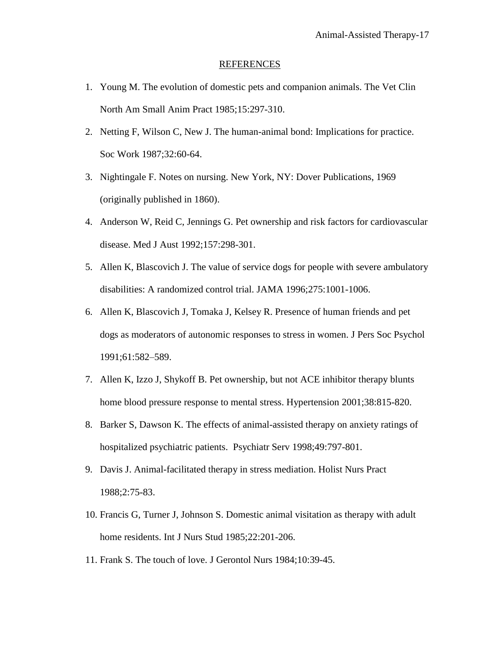#### REFERENCES

- 1. Young M. The evolution of domestic pets and companion animals. The Vet Clin North Am Small Anim Pract 1985;15:297-310.
- 2. Netting F, Wilson C, New J. The human-animal bond: Implications for practice. Soc Work 1987;32:60-64.
- 3. Nightingale F. Notes on nursing. New York, NY: Dover Publications, 1969 (originally published in 1860).
- 4. Anderson W, Reid C, Jennings G. Pet ownership and risk factors for cardiovascular disease. Med J Aust 1992;157:298-301.
- 5. Allen K, Blascovich J. The value of service dogs for people with severe ambulatory disabilities: A randomized control trial. JAMA 1996;275:1001-1006.
- 6. Allen K, Blascovich J, Tomaka J, Kelsey R. Presence of human friends and pet dogs as moderators of autonomic responses to stress in women. J Pers Soc Psychol 1991;61:582–589.
- 7. Allen K, Izzo J, Shykoff B. Pet ownership, but not ACE inhibitor therapy blunts home blood pressure response to mental stress. Hypertension 2001;38:815-820.
- 8. Barker S, Dawson K. The effects of animal-assisted therapy on anxiety ratings of hospitalized psychiatric patients. Psychiatr Serv 1998;49:797-801.
- 9. Davis J. Animal-facilitated therapy in stress mediation. Holist Nurs Pract 1988;2:75-83.
- 10. Francis G, Turner J, Johnson S. Domestic animal visitation as therapy with adult home residents. Int J Nurs Stud 1985;22:201-206.
- 11. Frank S. The touch of love. J Gerontol Nurs 1984;10:39-45.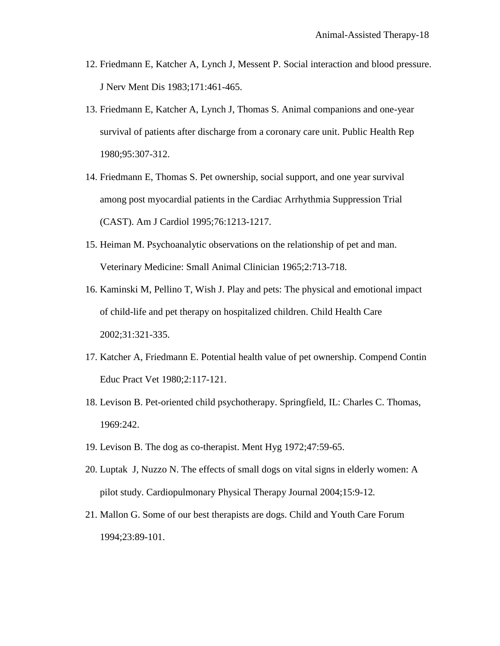- 12. Friedmann E, Katcher A, Lynch J, Messent P. Social interaction and blood pressure. J Nerv Ment Dis 1983;171:461-465.
- 13. Friedmann E, Katcher A, Lynch J, Thomas S. Animal companions and one-year survival of patients after discharge from a coronary care unit. Public Health Rep 1980;95:307-312.
- 14. Friedmann E, Thomas S. Pet ownership, social support, and one year survival among post myocardial patients in the Cardiac Arrhythmia Suppression Trial (CAST). Am J Cardiol 1995;76:1213-1217.
- 15. Heiman M. Psychoanalytic observations on the relationship of pet and man. Veterinary Medicine: Small Animal Clinician 1965;2:713-718.
- 16. Kaminski M, Pellino T, Wish J. Play and pets: The physical and emotional impact of child-life and pet therapy on hospitalized children. Child Health Care 2002;31:321-335.
- 17. Katcher A, Friedmann E. Potential health value of pet ownership. Compend Contin Educ Pract Vet 1980;2:117-121.
- 18. Levison B. Pet-oriented child psychotherapy. Springfield, IL: Charles C. Thomas, 1969:242.
- 19. Levison B. The dog as co-therapist. Ment Hyg 1972;47:59-65.
- 20. Luptak J, Nuzzo N. The effects of small dogs on vital signs in elderly women: A pilot study. Cardiopulmonary Physical Therapy Journal 2004;15:9-12*.*
- 21. Mallon G. Some of our best therapists are dogs. Child and Youth Care Forum 1994;23:89-101.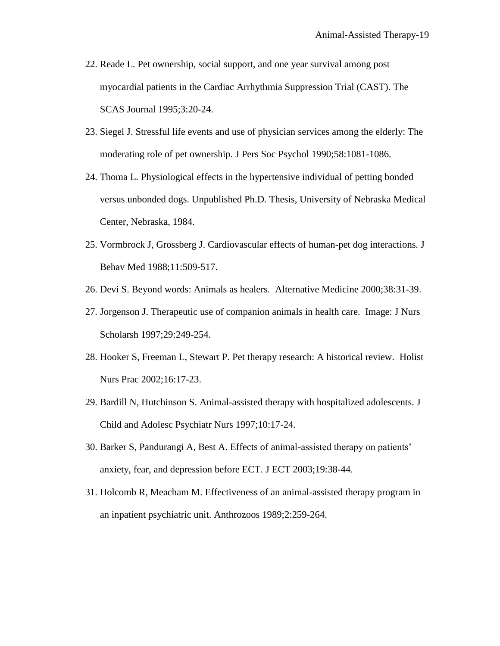- 22. Reade L. Pet ownership, social support, and one year survival among post myocardial patients in the Cardiac Arrhythmia Suppression Trial (CAST). The SCAS Journal 1995;3:20-24.
- 23. Siegel J. Stressful life events and use of physician services among the elderly: The moderating role of pet ownership. J Pers Soc Psychol 1990;58:1081-1086.
- 24. Thoma L. Physiological effects in the hypertensive individual of petting bonded versus unbonded dogs. Unpublished Ph.D. Thesis, University of Nebraska Medical Center, Nebraska, 1984.
- 25. Vormbrock J, Grossberg J. Cardiovascular effects of human-pet dog interactions*.* J Behav Med 1988;11:509-517.
- 26. Devi S. Beyond words: Animals as healers. Alternative Medicine 2000;38:31-39.
- 27. Jorgenson J. Therapeutic use of companion animals in health care. Image: J Nurs Scholarsh 1997;29:249-254.
- 28. Hooker S, Freeman L, Stewart P. Pet therapy research: A historical review. Holist Nurs Prac 2002;16:17-23.
- 29. Bardill N, Hutchinson S. Animal-assisted therapy with hospitalized adolescents. J Child and Adolesc Psychiatr Nurs 1997;10:17-24*.*
- 30. Barker S, Pandurangi A, Best A. Effects of animal-assisted therapy on patients' anxiety, fear, and depression before ECT. J ECT 2003;19:38-44.
- 31. Holcomb R, Meacham M. Effectiveness of an animal-assisted therapy program in an inpatient psychiatric unit. Anthrozoos 1989;2:259-264.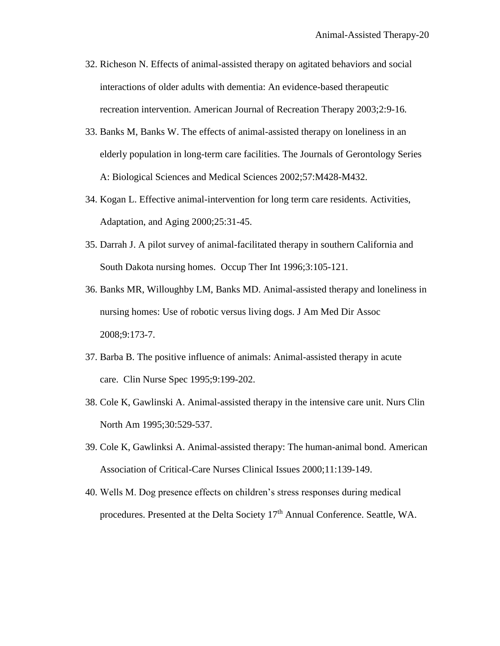- 32. Richeson N. Effects of animal-assisted therapy on agitated behaviors and social interactions of older adults with dementia: An evidence-based therapeutic recreation intervention. American Journal of Recreation Therapy 2003;2:9-16*.*
- 33. Banks M, Banks W. The effects of animal-assisted therapy on loneliness in an elderly population in long-term care facilities. The Journals of Gerontology Series A: Biological Sciences and Medical Sciences 2002;57:M428-M432.
- 34. Kogan L. Effective animal-intervention for long term care residents. Activities, Adaptation, and Aging 2000;25:31-45.
- 35. Darrah J. A pilot survey of animal-facilitated therapy in southern California and South Dakota nursing homes. Occup Ther Int 1996;3:105-121.
- 36. Banks MR, Willoughby LM, Banks MD. Animal-assisted therapy and loneliness in nursing homes: Use of robotic versus living dogs. J Am Med Dir Assoc 2008;9:173-7.
- 37. Barba B. The positive influence of animals: Animal-assisted therapy in acute care. Clin Nurse Spec 1995;9:199-202.
- 38. Cole K, Gawlinski A. Animal-assisted therapy in the intensive care unit. Nurs Clin North Am 1995;30:529-537.
- 39. Cole K, Gawlinksi A. Animal-assisted therapy: The human-animal bond. American Association of Critical-Care Nurses Clinical Issues 2000;11:139-149.
- 40. Wells M. Dog presence effects on children's stress responses during medical procedures. Presented at the Delta Society 17<sup>th</sup> Annual Conference. Seattle, WA.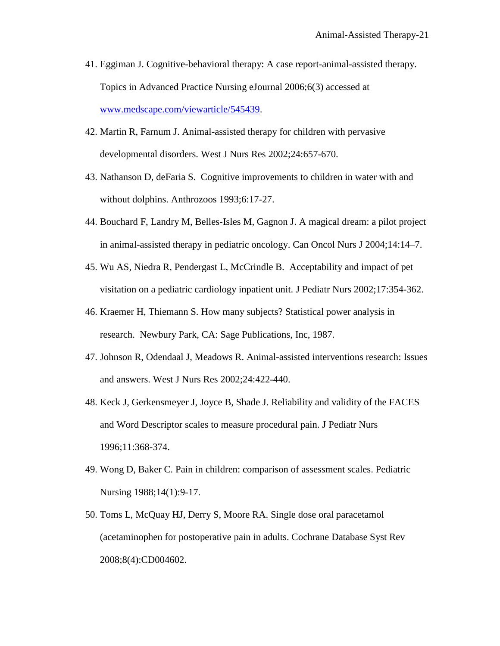- 41. Eggiman J. Cognitive-behavioral therapy: A case report-animal-assisted therapy. Topics in Advanced Practice Nursing eJournal 2006;6(3) accessed at [www.medscape.com/viewarticle/545439.](http://www.medscape.com/viewarticle/545439)
- 42. Martin R, Farnum J. Animal-assisted therapy for children with pervasive developmental disorders. West J Nurs Res 2002;24:657-670.
- 43. Nathanson D, deFaria S. Cognitive improvements to children in water with and without dolphins. Anthrozoos 1993;6:17-27.
- 44. Bouchard F, Landry M, Belles-Isles M, Gagnon J. A magical dream: a pilot project in animal-assisted therapy in pediatric oncology. Can Oncol Nurs J 2004;14:14–7.
- 45. Wu AS, Niedra R, Pendergast L, McCrindle B. Acceptability and impact of pet visitation on a pediatric cardiology inpatient unit. J Pediatr Nurs 2002;17:354-362.
- 46. Kraemer H, Thiemann S. How many subjects? Statistical power analysis in research. Newbury Park, CA: Sage Publications, Inc, 1987.
- 47. Johnson R, Odendaal J, Meadows R. Animal-assisted interventions research: Issues and answers. West J Nurs Res 2002;24:422-440.
- 48. Keck J, Gerkensmeyer J, Joyce B, Shade J. Reliability and validity of the FACES and Word Descriptor scales to measure procedural pain*.* J Pediatr Nurs 1996;11:368-374.
- 49. Wong D, Baker C. Pain in children: comparison of assessment scales. Pediatric Nursing 1988;14(1):9-17.
- 50. Toms L, McQuay HJ, Derry S, Moore RA. Single dose oral paracetamol (acetaminophen for postoperative pain in adults. Cochrane Database Syst Rev 2008;8(4):CD004602.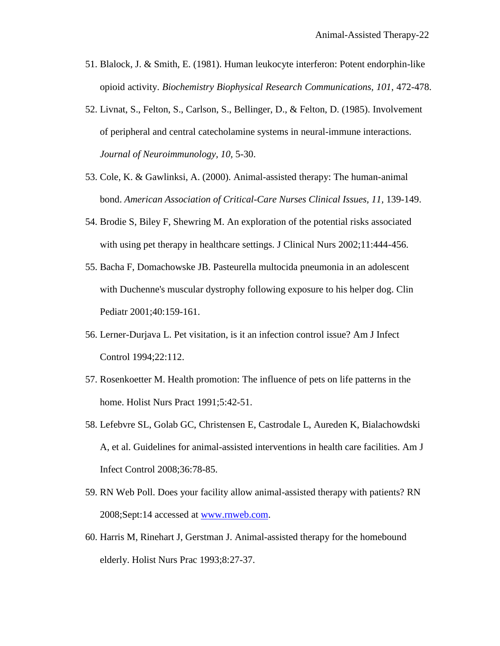- 51. Blalock, J. & Smith, E. (1981). Human leukocyte interferon: Potent endorphin-like opioid activity. *Biochemistry Biophysical Research Communications, 101*, 472-478.
- 52. Livnat, S., Felton, S., Carlson, S., Bellinger, D., & Felton, D. (1985). Involvement of peripheral and central catecholamine systems in neural-immune interactions. *Journal of Neuroimmunology, 10,* 5-30.
- 53. Cole, K. & Gawlinksi, A. (2000). Animal-assisted therapy: The human-animal bond. *American Association of Critical-Care Nurses Clinical Issues, 11,* 139-149.
- 54. Brodie S, Biley F, Shewring M. An exploration of the potential risks associated with using pet therapy in healthcare settings. J Clinical Nurs 2002;11:444-456.
- 55. Bacha F, Domachowske JB. Pasteurella multocida pneumonia in an adolescent with Duchenne's muscular dystrophy following exposure to his helper dog. Clin Pediatr 2001;40:159-161.
- 56. Lerner-Durjava L. Pet visitation, is it an infection control issue? Am J Infect Control 1994;22:112.
- 57. Rosenkoetter M. Health promotion: The influence of pets on life patterns in the home. Holist Nurs Pract 1991;5:42-51.
- 58. Lefebvre SL, Golab GC, Christensen E, Castrodale L, Aureden K, Bialachowdski A, et al. Guidelines for animal-assisted interventions in health care facilities. Am J Infect Control 2008;36:78-85.
- 59. RN Web Poll. Does your facility allow animal-assisted therapy with patients? RN 2008;Sept:14 accessed at [www.rnweb.com.](http://www.rnweb.com/)
- 60. Harris M, Rinehart J, Gerstman J. Animal-assisted therapy for the homebound elderly. Holist Nurs Prac 1993;8:27-37.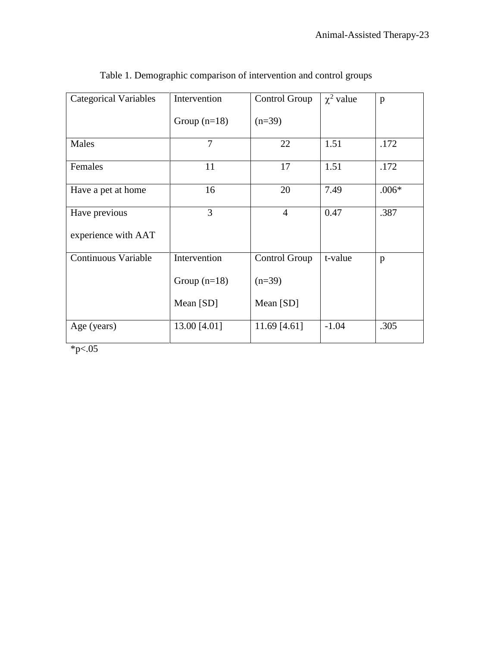| <b>Categorical Variables</b> | Intervention   | Control Group        | $\chi^2$ value | $\mathbf{p}$ |
|------------------------------|----------------|----------------------|----------------|--------------|
|                              | Group $(n=18)$ | $(n=39)$             |                |              |
| Males                        | 7              | 22                   | 1.51           | .172         |
| Females                      | 11             | 17                   | 1.51           | .172         |
| Have a pet at home           | 16             | 20                   | 7.49           | $.006*$      |
| Have previous                | 3              | $\overline{4}$       | 0.47           | .387         |
| experience with AAT          |                |                      |                |              |
| <b>Continuous Variable</b>   | Intervention   | <b>Control Group</b> | t-value        | p            |
|                              | Group $(n=18)$ | $(n=39)$             |                |              |
|                              | Mean [SD]      | Mean [SD]            |                |              |
| Age (years)<br>$\sim$ $\sim$ | 13.00 [4.01]   | 11.69 $[4.61]$       | $-1.04$        | .305         |

Table 1. Demographic comparison of intervention and control groups

 $*_{p<.05}$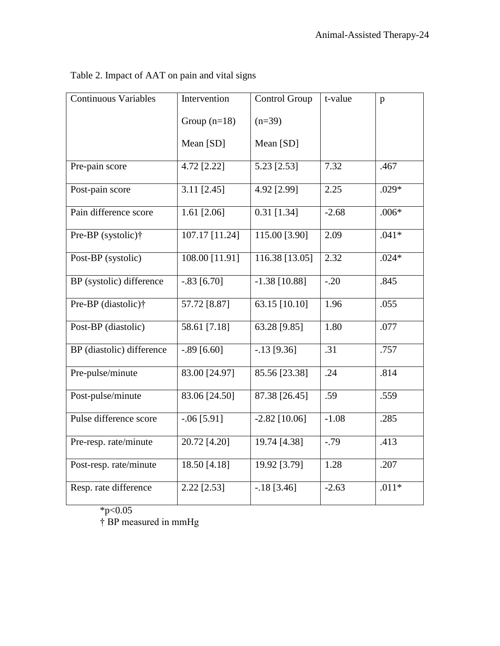| <b>Continuous Variables</b>          | Intervention   | Control Group   |         | p       |
|--------------------------------------|----------------|-----------------|---------|---------|
|                                      | Group $(n=18)$ | $(n=39)$        |         |         |
|                                      | Mean [SD]      | Mean [SD]       |         |         |
| Pre-pain score                       | 4.72 [2.22]    | 5.23 [2.53]     | 7.32    | .467    |
| Post-pain score                      | $3.11$ [2.45]  | 4.92 [2.99]     | 2.25    | $.029*$ |
| Pain difference score                | 1.61 $[2.06]$  | $0.31$ [1.34]   | $-2.68$ | $.006*$ |
| Pre-BP (systolic)†                   | 107.17 [11.24] | 115.00 [3.90]   | 2.09    | $.041*$ |
| Post-BP (systolic)                   | 108.00 [11.91] | 116.38 [13.05]  | 2.32    | $.024*$ |
| BP (systolic) difference             | $-.83$ [6.70]  | $-1.38$ [10.88] | $-.20$  | .845    |
| Pre-BP (diastolic)†                  | 57.72 [8.87]   | 63.15 $[10.10]$ | 1.96    | .055    |
| Post-BP (diastolic)                  | 58.61 [7.18]   | 63.28 [9.85]    | 1.80    | .077    |
| BP (diastolic) difference            | $-.89$ [6.60]  | $-.13$ [9.36]   | .31     | .757    |
| Pre-pulse/minute                     | 83.00 [24.97]  | 85.56 [23.38]   | .24     | .814    |
| Post-pulse/minute                    | 83.06 [24.50]  | 87.38 [26.45]   | .59     | .559    |
| Pulse difference score               | $-.06$ [5.91]  | $-2.82$ [10.06] | $-1.08$ | .285    |
| Pre-resp. rate/minute                | 20.72 [4.20]   | 19.74 [4.38]    | $-.79$  | .413    |
| Post-resp. rate/minute               | 18.50 [4.18]   | 19.92 [3.79]    | 1.28    | .207    |
| Resp. rate difference<br>2.22 [2.53] |                | $-.18$ [3.46]   | $-2.63$ | $.011*$ |

Table 2. Impact of AAT on pain and vital signs

 $*p<0.05$ 

† BP measured in mmHg